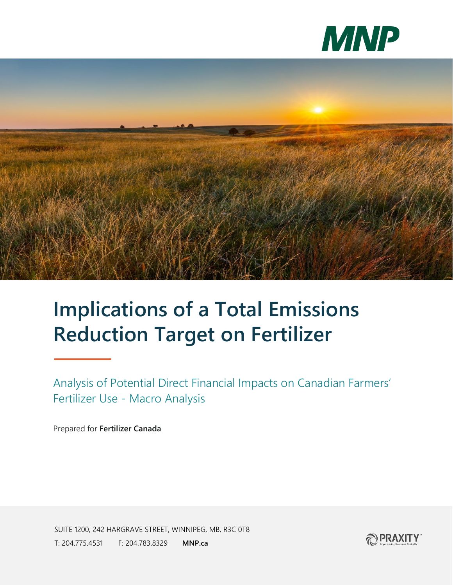



## **Implications of a Total Emissions Reduction Target on Fertilizer**

Analysis of Potential Direct Financial Impacts on Canadian Farmers' Fertilizer Use - Macro Analysis

Prepared for **Fertilizer Canada**

SUITE 1200, 242 HARGRAVE STREET, WINNIPEG, MB, R3C 0T8 T: 204.775.4531 F: 204.783.8329 **MNP.ca**

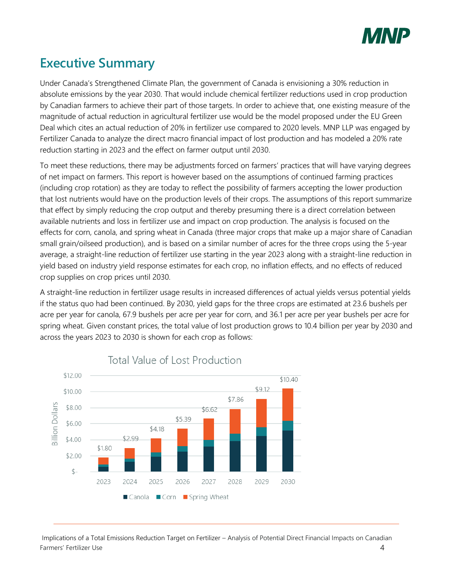

## **Executive Summary**

Under Canada's Strengthened Climate Plan, the government of Canada is envisioning a 30% reduction in absolute emissions by the year 2030. That would include chemical fertilizer reductions used in crop production by Canadian farmers to achieve their part of those targets. In order to achieve that, one existing measure of the magnitude of actual reduction in agricultural fertilizer use would be the model proposed under the EU Green Deal which cites an actual reduction of 20% in fertilizer use compared to 2020 levels. MNP LLP was engaged by Fertilizer Canada to analyze the direct macro financial impact of lost production and has modeled a 20% rate reduction starting in 2023 and the effect on farmer output until 2030.

To meet these reductions, there may be adjustments forced on farmers' practices that will have varying degrees of net impact on farmers. This report is however based on the assumptions of continued farming practices (including crop rotation) as they are today to reflect the possibility of farmers accepting the lower production that lost nutrients would have on the production levels of their crops. The assumptions of this report summarize that effect by simply reducing the crop output and thereby presuming there is a direct correlation between available nutrients and loss in fertilizer use and impact on crop production. The analysis is focused on the effects for corn, canola, and spring wheat in Canada (three major crops that make up a major share of Canadian small grain/oilseed production), and is based on a similar number of acres for the three crops using the 5-year average, a straight-line reduction of fertilizer use starting in the year 2023 along with a straight-line reduction in yield based on industry yield response estimates for each crop, no inflation effects, and no effects of reduced crop supplies on crop prices until 2030.

A straight-line reduction in fertilizer usage results in increased differences of actual yields versus potential yields if the status quo had been continued. By 2030, yield gaps for the three crops are estimated at 23.6 bushels per acre per year for canola, 67.9 bushels per acre per year for corn, and 36.1 per acre per year bushels per acre for spring wheat. Given constant prices, the total value of lost production grows to 10.4 billion per year by 2030 and across the years 2023 to 2030 is shown for each crop as follows:



## Total Value of Lost Production

Implications of a Total Emissions Reduction Target on Fertilizer – Analysis of Potential Direct Financial Impacts on Canadian Farmers' Fertilizer Use 4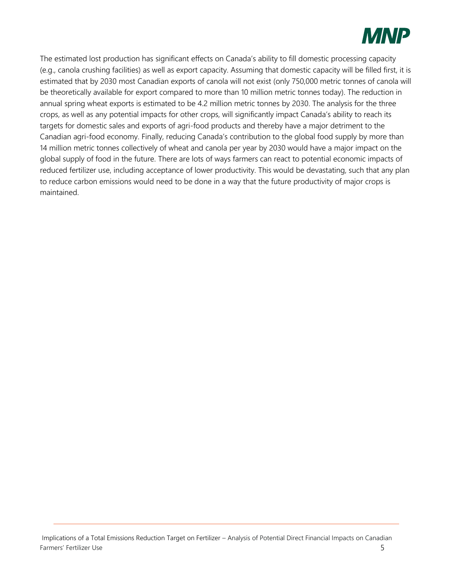

The estimated lost production has significant effects on Canada's ability to fill domestic processing capacity (e.g., canola crushing facilities) as well as export capacity. Assuming that domestic capacity will be filled first, it is estimated that by 2030 most Canadian exports of canola will not exist (only 750,000 metric tonnes of canola will be theoretically available for export compared to more than 10 million metric tonnes today). The reduction in annual spring wheat exports is estimated to be 4.2 million metric tonnes by 2030. The analysis for the three crops, as well as any potential impacts for other crops, will significantly impact Canada's ability to reach its targets for domestic sales and exports of agri-food products and thereby have a major detriment to the Canadian agri-food economy. Finally, reducing Canada's contribution to the global food supply by more than 14 million metric tonnes collectively of wheat and canola per year by 2030 would have a major impact on the global supply of food in the future. There are lots of ways farmers can react to potential economic impacts of reduced fertilizer use, including acceptance of lower productivity. This would be devastating, such that any plan to reduce carbon emissions would need to be done in a way that the future productivity of major crops is maintained.